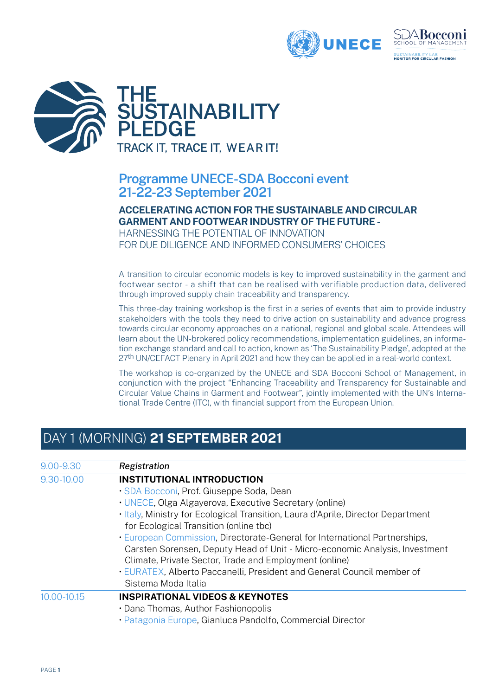



### **Programme UNECE-SDA Bocconi event 21-22-23 September 2021**

#### **ACCELERATING ACTION FOR THE SUSTAINABLE AND CIRCULAR GARMENT AND FOOTWEAR INDUSTRY OF THE FUTURE -**

HARNESSING THE POTENTIAL OF INNOVATION FOR DUE DILIGENCE AND INFORMED CONSUMERS' CHOICES

A transition to circular economic models is key to improved sustainability in the garment and footwear sector - a shift that can be realised with verifiable production data, delivered through improved supply chain traceability and transparency.

This three-day training workshop is the first in a series of events that aim to provide industry stakeholders with the tools they need to drive action on sustainability and advance progress towards circular economy approaches on a national, regional and global scale. Attendees will learn about the UN-brokered policy recommendations, implementation guidelines, an information exchange standard and call to action, known as 'The Sustainability Pledge', adopted at the 27<sup>th</sup> UN/CEFACT Plenary in April 2021 and how they can be applied in a real-world context.

The workshop is co-organized by the UNECE and SDA Bocconi School of Management, in conjunction with the project "Enhancing Traceability and Transparency for Sustainable and Circular Value Chains in Garment and Footwear", jointly implemented with the UN's International Trade Centre (ITC), with financial support from the European Union.

## DAY 1 (MORNING) **21 SEPTEMBER 2021**

| 9.00-9.30   | Registration                                                                     |
|-------------|----------------------------------------------------------------------------------|
|             |                                                                                  |
| 9.30-10.00  | <b>INSTITUTIONAL INTRODUCTION</b>                                                |
|             | · SDA Bocconi, Prof. Giuseppe Soda, Dean                                         |
|             | · UNECE, Olga Algayerova, Executive Secretary (online)                           |
|             | . Italy, Ministry for Ecological Transition, Laura d'Aprile, Director Department |
|             | for Ecological Transition (online tbc)                                           |
|             | · European Commission, Directorate-General for International Partnerships,       |
|             | Carsten Sorensen, Deputy Head of Unit - Micro-economic Analysis, Investment      |
|             | Climate, Private Sector, Trade and Employment (online)                           |
|             | • EURATEX, Alberto Paccanelli, President and General Council member of           |
|             | Sistema Moda Italia                                                              |
| 10.00-10.15 | <b>INSPIRATIONAL VIDEOS &amp; KEYNOTES</b>                                       |
|             | • Dana Thomas, Author Fashionopolis                                              |
|             | · Patagonia Europe, Gianluca Pandolfo, Commercial Director                       |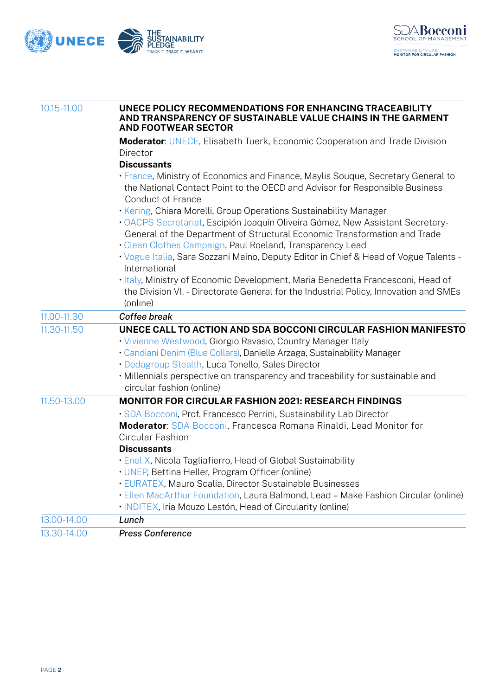



| 10.15-11.00 | UNECE POLICY RECOMMENDATIONS FOR ENHANCING TRACEABILITY<br>AND TRANSPARENCY OF SUSTAINABLE VALUE CHAINS IN THE GARMENT<br><b>AND FOOTWEAR SECTOR</b>                                                                                                                                                                                                                           |  |
|-------------|--------------------------------------------------------------------------------------------------------------------------------------------------------------------------------------------------------------------------------------------------------------------------------------------------------------------------------------------------------------------------------|--|
|             | <b>Moderator: UNECE, Elisabeth Tuerk, Economic Cooperation and Trade Division</b><br>Director                                                                                                                                                                                                                                                                                  |  |
|             | <b>Discussants</b><br>• France, Ministry of Economics and Finance, Maylis Souque, Secretary General to<br>the National Contact Point to the OECD and Advisor for Responsible Business<br><b>Conduct of France</b>                                                                                                                                                              |  |
|             | · Kering, Chiara Morelli, Group Operations Sustainability Manager<br>· OACPS Secretariat, Escipión Joaquín Oliveira Gómez, New Assistant Secretary-<br>General of the Department of Structural Economic Transformation and Trade<br>· Clean Clothes Campaign, Paul Roeland, Transparency Lead                                                                                  |  |
|             | · Vogue Italia, Sara Sozzani Maino, Deputy Editor in Chief & Head of Vogue Talents -<br>International                                                                                                                                                                                                                                                                          |  |
|             | · Italy, Ministry of Economic Development, Maria Benedetta Francesconi, Head of<br>the Division VI. - Directorate General for the Industrial Policy, Innovation and SMEs<br>(online)                                                                                                                                                                                           |  |
| 11.00-11.30 | Coffee break                                                                                                                                                                                                                                                                                                                                                                   |  |
| 11.30-11.50 | UNECE CALL TO ACTION AND SDA BOCCONI CIRCULAR FASHION MANIFESTO<br>· Vivienne Westwood, Giorgio Ravasio, Country Manager Italy<br>· Candiani Denim (Blue Collars), Danielle Arzaga, Sustainability Manager<br>· Dedagroup Stealth, Luca Tonello, Sales Director<br>• Millennials perspective on transparency and traceability for sustainable and<br>circular fashion (online) |  |
| 11.50-13.00 | <b>MONITOR FOR CIRCULAR FASHION 2021: RESEARCH FINDINGS</b>                                                                                                                                                                                                                                                                                                                    |  |
|             | · SDA Bocconi, Prof. Francesco Perrini, Sustainability Lab Director<br>Moderator: SDA Bocconi, Francesca Romana Rinaldi, Lead Monitor for<br>Circular Fashion<br><b>Discussants</b>                                                                                                                                                                                            |  |
|             | • Enel X, Nicola Tagliafierro, Head of Global Sustainability<br>• UNEP, Bettina Heller, Program Officer (online)<br>· EURATEX, Mauro Scalia, Director Sustainable Businesses<br>· Ellen MacArthur Foundation, Laura Balmond, Lead - Make Fashion Circular (online)<br>• INDITEX, Iria Mouzo Lestón, Head of Circularity (online)                                               |  |
| 13.00-14.00 | Lunch                                                                                                                                                                                                                                                                                                                                                                          |  |
| 13.30-14.00 | <b>Press Conference</b>                                                                                                                                                                                                                                                                                                                                                        |  |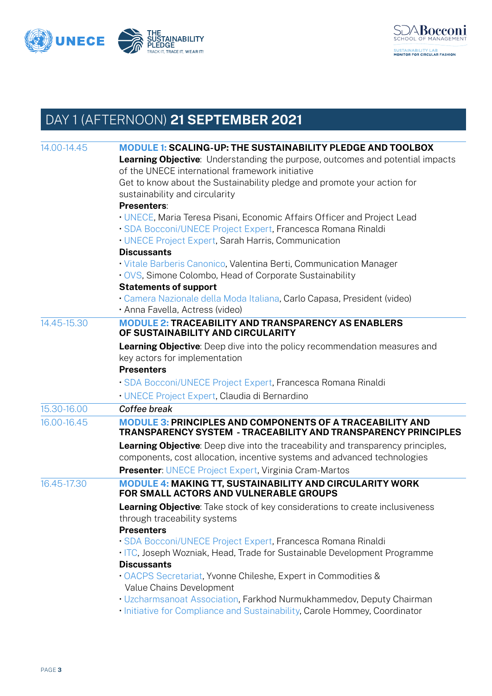



# DAY 1 (AFTERNOON) **21 SEPTEMBER 2021**

| • UNECE, Maria Teresa Pisani, Economic Affairs Officer and Project Lead<br>· SDA Bocconi/UNECE Project Expert, Francesca Romana Rinaldi                                                                                                                                                            |
|----------------------------------------------------------------------------------------------------------------------------------------------------------------------------------------------------------------------------------------------------------------------------------------------------|
| · Vitale Barberis Canonico, Valentina Berti, Communication Manager                                                                                                                                                                                                                                 |
| · Camera Nazionale della Moda Italiana, Carlo Capasa, President (video)                                                                                                                                                                                                                            |
| <b>MODULE 2: TRACEABILITY AND TRANSPARENCY AS ENABLERS</b>                                                                                                                                                                                                                                         |
| Learning Objective: Deep dive into the policy recommendation measures and<br>· SDA Bocconi/UNECE Project Expert, Francesca Romana Rinaldi                                                                                                                                                          |
|                                                                                                                                                                                                                                                                                                    |
|                                                                                                                                                                                                                                                                                                    |
| <b>MODULE 3: PRINCIPLES AND COMPONENTS OF A TRACEABILITY AND</b><br>TRANSPARENCY SYSTEM - TRACEABILITY AND TRANSPARENCY PRINCIPLES<br>Learning Objective: Deep dive into the traceability and transparency principles,<br>components, cost allocation, incentive systems and advanced technologies |
| <b>MODULE 4: MAKING TT, SUSTAINABILITY AND CIRCULARITY WORK</b>                                                                                                                                                                                                                                    |
| <b>Learning Objective:</b> Take stock of key considerations to create inclusiveness                                                                                                                                                                                                                |
| · SDA Bocconi/UNECE Project Expert, Francesca Romana Rinaldi<br>. ITC, Joseph Wozniak, Head, Trade for Sustainable Development Programme                                                                                                                                                           |
| · Uzcharmsanoat Association, Farkhod Nurmukhammedov, Deputy Chairman<br>. Initiative for Compliance and Sustainability, Carole Hommey, Coordinator                                                                                                                                                 |
|                                                                                                                                                                                                                                                                                                    |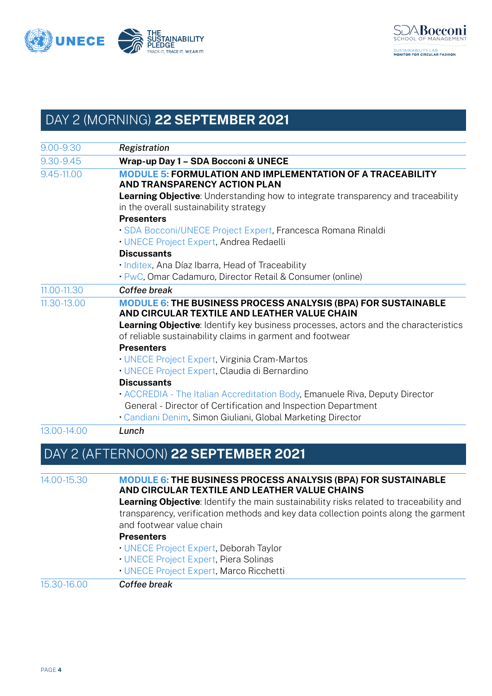



# DAY 2 (MORNING) **22 SEPTEMBER 2021**

| 9.00-9.30   | Registration                                                                                                                                            |
|-------------|---------------------------------------------------------------------------------------------------------------------------------------------------------|
| 9.30-9.45   | Wrap-up Day 1 - SDA Bocconi & UNECE                                                                                                                     |
| 9.45-11.00  | <b>MODULE 5: FORMULATION AND IMPLEMENTATION OF A TRACEABILITY</b><br><b>AND TRANSPARENCY ACTION PLAN</b>                                                |
|             | <b>Learning Objective:</b> Understanding how to integrate transparency and traceability<br>in the overall sustainability strategy                       |
|             | <b>Presenters</b>                                                                                                                                       |
|             | · SDA Bocconi/UNECE Project Expert, Francesca Romana Rinaldi                                                                                            |
|             | · UNECE Project Expert, Andrea Redaelli                                                                                                                 |
|             | <b>Discussants</b>                                                                                                                                      |
|             | · Inditex, Ana Díaz Ibarra, Head of Traceability                                                                                                        |
|             | · PwC, Omar Cadamuro, Director Retail & Consumer (online)                                                                                               |
| 11.00-11.30 | Coffee break                                                                                                                                            |
| 11.30-13.00 | <b>MODULE 6: THE BUSINESS PROCESS ANALYSIS (BPA) FOR SUSTAINABLE</b><br>AND CIRCULAR TEXTILE AND LEATHER VALUE CHAIN                                    |
|             | <b>Learning Objective:</b> Identify key business processes, actors and the characteristics<br>of reliable sustainability claims in garment and footwear |
|             | <b>Presenters</b>                                                                                                                                       |
|             | • UNECE Project Expert, Virginia Cram-Martos                                                                                                            |
|             | · UNECE Project Expert, Claudia di Bernardino                                                                                                           |
|             | <b>Discussants</b>                                                                                                                                      |
|             | • ACCREDIA - The Italian Accreditation Body, Emanuele Riva, Deputy Director                                                                             |
|             | General - Director of Certification and Inspection Department                                                                                           |
|             | • Candiani Denim, Simon Giuliani, Global Marketing Director                                                                                             |
| 13.00-14.00 | Lunch                                                                                                                                                   |
|             |                                                                                                                                                         |

### DAY 2 (AFTERNOON) **22 SEPTEMBER 2021**

| 14.00-15.30 | <b>MODULE 6: THE BUSINESS PROCESS ANALYSIS (BPA) FOR SUSTAINABLE</b><br>AND CIRCULAR TEXTILE AND LEATHER VALUE CHAINS |
|-------------|-----------------------------------------------------------------------------------------------------------------------|
|             | <b>Learning Objective:</b> Identify the main sustainability risks related to traceability and                         |
|             | transparency, verification methods and key data collection points along the garment                                   |
|             | and footwear value chain                                                                                              |
|             | <b>Presenters</b>                                                                                                     |
|             | • UNECE Project Expert, Deborah Taylor                                                                                |
|             | • UNECE Project Expert, Piera Solinas                                                                                 |
|             | • UNECE Project Expert, Marco Ricchetti                                                                               |
| 15.30-16.00 | Coffee break                                                                                                          |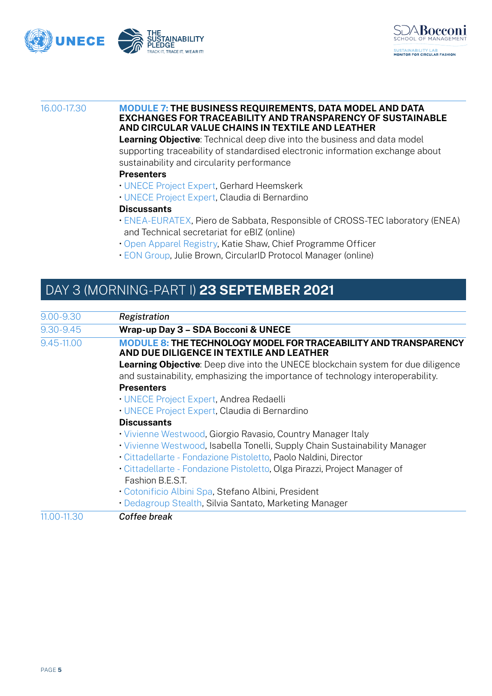



#### 16.00-17.30 **MODULE 7: THE BUSINESS REQUIREMENTS, DATA MODEL AND DATA EXCHANGES FOR TRACEABILITY AND TRANSPARENCY OF SUSTAINABLE AND CIRCULAR VALUE CHAINS IN TEXTILE AND LEATHER**

**Learning Objective**: Technical deep dive into the business and data model supporting traceability of standardised electronic information exchange about sustainability and circularity performance

#### **Presenters**

- UNECE Project Expert, Gerhard Heemskerk
- UNECE Project Expert, Claudia di Bernardino

#### **Discussants**

- ENEA-EURATEX, Piero de Sabbata, Responsible of CROSS-TEC laboratory (ENEA) and Technical secretariat for eBIZ (online)
- Open Apparel Registry, Katie Shaw, Chief Programme Officer
- EON Group, Julie Brown, CircularID Protocol Manager (online)

## DAY 3 (MORNING-PART I) **23 SEPTEMBER 2021**

| $9.00 - 9.30$ | Registration                                                                                                                                                              |
|---------------|---------------------------------------------------------------------------------------------------------------------------------------------------------------------------|
| 9.30-9.45     | Wrap-up Day 3 - SDA Bocconi & UNECE                                                                                                                                       |
| 9.45-11.00    | <b>MODULE 8: THE TECHNOLOGY MODEL FOR TRACEABILITY AND TRANSPARENCY</b><br>AND DUE DILIGENCE IN TEXTILE AND LEATHER                                                       |
|               | <b>Learning Objective:</b> Deep dive into the UNECE blockchain system for due diligence<br>and sustainability, emphasizing the importance of technology interoperability. |
|               | <b>Presenters</b>                                                                                                                                                         |
|               | • UNECE Project Expert, Andrea Redaelli                                                                                                                                   |
|               | • UNECE Project Expert, Claudia di Bernardino                                                                                                                             |
|               | <b>Discussants</b>                                                                                                                                                        |
|               | • Vivienne Westwood, Giorgio Ravasio, Country Manager Italy                                                                                                               |
|               | • Vivienne Westwood, Isabella Tonelli, Supply Chain Sustainability Manager                                                                                                |
|               | · Cittadellarte - Fondazione Pistoletto, Paolo Naldini, Director                                                                                                          |
|               | · Cittadellarte - Fondazione Pistoletto, Olga Pirazzi, Project Manager of<br>Fashion B.E.S.T.                                                                             |
|               | • Cotonificio Albini Spa, Stefano Albini, President                                                                                                                       |
|               | • Dedagroup Stealth, Silvia Santato, Marketing Manager                                                                                                                    |
| 11.00-11.30   | Coffee break                                                                                                                                                              |